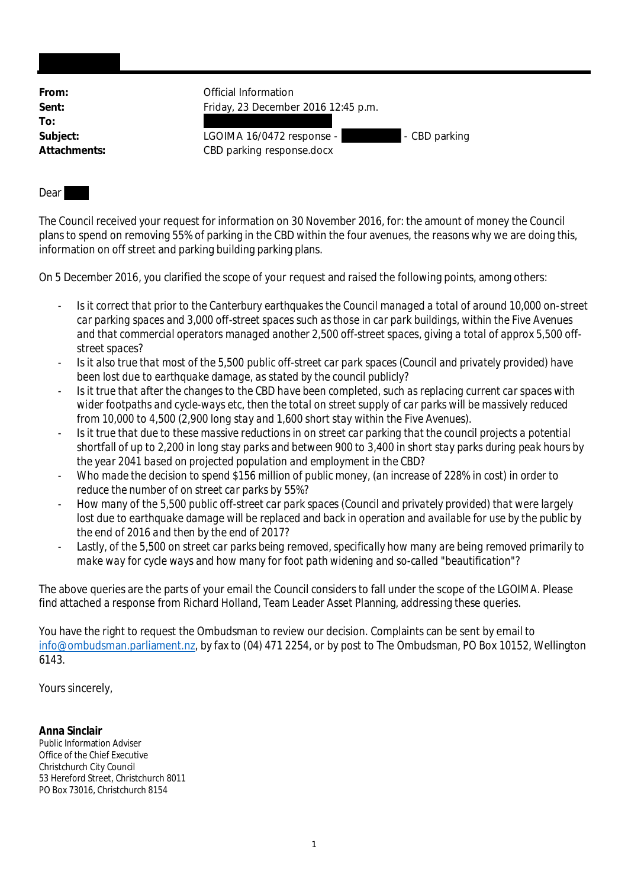| From:        | Official Information                       |
|--------------|--------------------------------------------|
| Sent:        | Friday, 23 December 2016 12:45 p.m.        |
| To:          |                                            |
| Subject:     | LGOIMA 16/0472 response -<br>- CBD parking |
| Attachments: | CBD parking response.docx                  |

## Dear

The Council received your request for information on 30 November 2016, for: the amount of money the Council plans to spend on removing 55% of parking in the CBD within the four avenues, the reasons why we are doing this, information on off street and parking building parking plans.

On 5 December 2016, you clarified the scope of your request and raised the following points, among others:

- *Is it correct that prior to the Canterbury earthquakes the Council managed a total of around 10,000 on-street car parking spaces and 3,000 off-street spaces such as those in car park buildings, within the Five Avenues and that commercial operators managed another 2,500 off-street spaces, giving a total of approx 5,500 offstreet spaces?*
- *Is it also true that most of the 5,500 public off-street car park spaces (Council and privately provided) have been lost due to earthquake damage, as stated by the council publicly?*
- *Is it true that after the changes to the CBD have been completed, such as replacing current car spaces with wider footpaths and cycle-ways etc, then the total on street supply of car parks will be massively reduced from 10,000 to 4,500 (2,900 long stay and 1,600 short stay within the Five Avenues).*
- *Is it true that due to these massive reductions in on street car parking that the council projects a potential shortfall of up to 2,200 in long stay parks and between 900 to 3,400 in short stay parks during peak hours by the year 2041 based on projected population and employment in the CBD?*
- *Who made the decision to spend \$156 million of public money, (an increase of 228% in cost) in order to reduce the number of on street car parks by 55%?*
- *How many of the 5,500 public off-street car park spaces (Council and privately provided) that were largely lost due to earthquake damage will be replaced and back in operation and available for use by the public by the end of 2016 and then by the end of 2017?*
- Lastly, of the 5,500 on street car parks being removed, specifically how many are being removed primarily to *make way for cycle ways and how many for foot path widening and so-called "beautification"?*

The above queries are the parts of your email the Council considers to fall under the scope of the LGOIMA. Please find attached a response from Richard Holland, Team Leader Asset Planning, addressing these queries.

You have the right to request the Ombudsman to review our decision. Complaints can be sent by email to info@ombudsman.parliament.nz, by fax to (04) 471 2254, or by post to The Ombudsman, PO Box 10152, Wellington 6143.

Yours sincerely,

**Anna Sinclair** Public Information Adviser Office of the Chief Executive Christchurch City Council 53 Hereford Street, Christchurch 8011 PO Box 73016, Christchurch 8154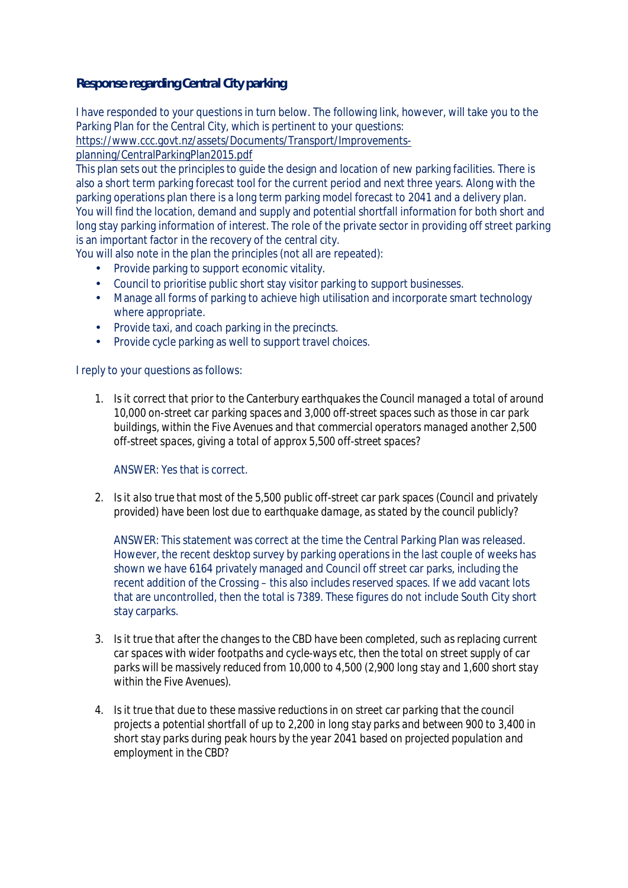**Response regarding Central City parking**

I have responded to your questions in turn below. The following link, however, will take you to the Parking Plan for the Central City, which is pertinent to your questions:

[https://www.ccc.govt.nz/assets/Documents/Transport/Improvements-](https://www.ccc.govt.nz/assets/Documents/Transport/Improvements-planning/CentralParkingPlan2015.pdf)

[planning/CentralParkingPlan2015.pdf](https://www.ccc.govt.nz/assets/Documents/Transport/Improvements-planning/CentralParkingPlan2015.pdf)

This plan sets out the principles to guide the design and location of new parking facilities. There is also a short term parking forecast tool for the current period and next three years. Along with the parking operations plan there is a long term parking model forecast to 2041 and a delivery plan. You will find the location, demand and supply and potential shortfall information for both short and long stay parking information of interest. The role of the private sector in providing off street parking is an important factor in the recovery of the central city.

You will also note in the plan the principles (not all are repeated):

- Provide parking to support economic vitality. a.
- Council to prioritise public short stay visitor parking to support businesses.
- Manage all forms of parking to achieve high utilisation and incorporate smart technology k. where appropriate.
- $\mathcal{L}^{\text{max}}$ Provide taxi, and coach parking in the precincts.
- Provide cycle parking as well to support travel choices.

I reply to your questions as follows:

1. *Is it correct that prior to the Canterbury earthquakes the Council managed a total of around 10,000 on-street car parking spaces and 3,000 off-street spaces such as those in car park buildings, within the Five Avenues and that commercial operators managed another 2,500 off-street spaces, giving a total of approx 5,500 off-street spaces?*

ANSWER: Yes that is correct.

2. *Is it also true that most of the 5,500 public off-street car park spaces (Council and privately provided) have been lost due to earthquake damage, as stated by the council publicly?*

ANSWER: This statement was correct at the time the Central Parking Plan was released. However, the recent desktop survey by parking operations in the last couple of weeks has shown we have 6164 privately managed and Council off street car parks, including the recent addition of the Crossing – this also includes reserved spaces. If we add vacant lots that are uncontrolled, then the total is 7389. These figures do not include South City short stay carparks.

- 3. *Is it true that after the changes to the CBD have been completed, such as replacing current car spaces with wider footpaths and cycle-ways etc, then the total on street supply of car parks will be massively reduced from 10,000 to 4,500 (2,900 long stay and 1,600 short stay within the Five Avenues).*
- 4. *Is it true that due to these massive reductions in on street car parking that the council projects a potential shortfall of up to 2,200 in long stay parks and between 900 to 3,400 in short stay parks during peak hours by the year 2041 based on projected population and employment in the CBD?*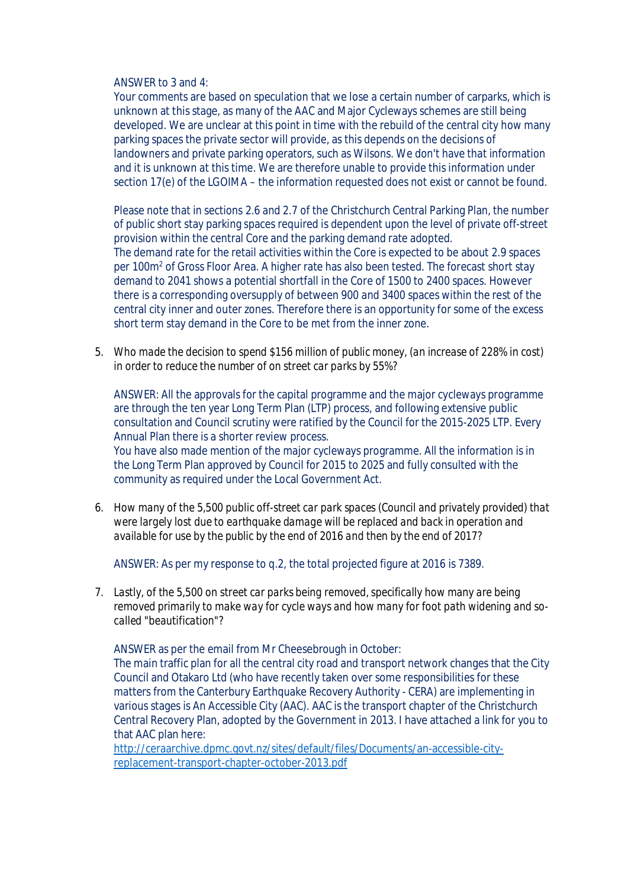ANSWER to 3 and 4:

Your comments are based on speculation that we lose a certain number of carparks, which is unknown at this stage, as many of the AAC and Major Cycleways schemes are still being developed. We are unclear at this point in time with the rebuild of the central city how many parking spaces the private sector will provide, as this depends on the decisions of landowners and private parking operators, such as Wilsons. We don't have that information and it is unknown at this time. We are therefore unable to provide this information under section 17(e) of the LGOIMA – the information requested does not exist or cannot be found.

Please note that in sections 2.6 and 2.7 of the Christchurch Central Parking Plan, the number of public short stay parking spaces required is dependent upon the level of private off-street provision within the central Core and the parking demand rate adopted. The demand rate for the retail activities within the Core is expected to be about 2.9 spaces per 100m<sup>2</sup> of Gross Floor Area. A higher rate has also been tested. The forecast short stay demand to 2041 shows a potential shortfall in the Core of 1500 to 2400 spaces. However there is a corresponding oversupply of between 900 and 3400 spaces within the rest of the central city inner and outer zones. Therefore there is an opportunity for some of the excess short term stay demand in the Core to be met from the inner zone.

5. *Who made the decision to spend \$156 million of public money, (an increase of 228% in cost) in order to reduce the number of on street car parks by 55%?*

ANSWER: All the approvals for the capital programme and the major cycleways programme are through the ten year Long Term Plan (LTP) process, and following extensive public consultation and Council scrutiny were ratified by the Council for the 2015-2025 LTP. Every Annual Plan there is a shorter review process.

 You have also made mention of the major cycleways programme. All the information is in the Long Term Plan approved by Council for 2015 to 2025 and fully consulted with the community as required under the Local Government Act.

6. *How many of the 5,500 public off-street car park spaces (Council and privately provided) that were largely lost due to earthquake damage will be replaced and back in operation and available for use by the public by the end of 2016 and then by the end of 2017?*

ANSWER: As per my response to q.2, the total projected figure at 2016 is 7389.

7. *Lastly, of the 5,500 on street car parks being removed, specifically how many are being removed primarily to make way for cycle ways and how many for foot path widening and socalled "beautification"?*

ANSWER as per the email from Mr Cheesebrough in October:

The main traffic plan for all the central city road and transport network changes that the City Council and Otakaro Ltd (who have recently taken over some responsibilities for these matters from the Canterbury Earthquake Recovery Authority - CERA) are implementing in various stages is An Accessible City (AAC). AAC is the transport chapter of the Christchurch Central Recovery Plan, adopted by the Government in 2013. I have attached a link for you to that AAC plan here:

[http://ceraarchive.dpmc.govt.nz/sites/default/files/Documents/an-accessible-city](http://ceraarchive.dpmc.govt.nz/sites/default/files/Documents/an-accessible-city-%09replacement-transport-chapter-october-2013.pdf)[replacement-transport-chapter-october-2013.pdf](http://ceraarchive.dpmc.govt.nz/sites/default/files/Documents/an-accessible-city-%09replacement-transport-chapter-october-2013.pdf)